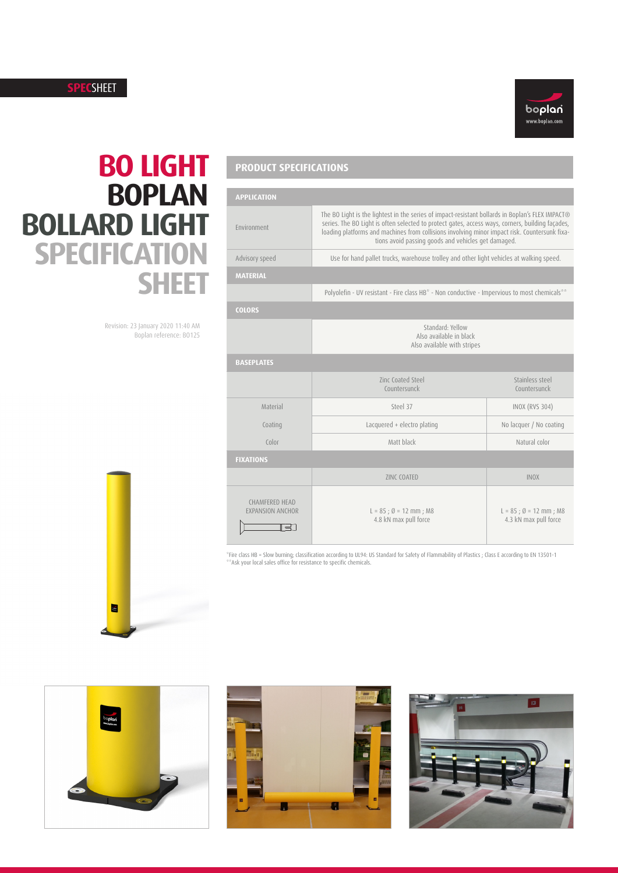### **SPEC**SHEET



# **BO LIGHT BOPLAN BOLLARD LIGHT SPECIFICATION SHEET**

Revision: 23 January 2020 11:40 AM Boplan reference: BO125

| E |  |
|---|--|

## **PRODUCT SPECIFICATIONS**

|                 | <b>APPLICATION</b>                                                 |                                                                                                                                                                                                                                                                                                                                                              |                                                             |  |  |
|-----------------|--------------------------------------------------------------------|--------------------------------------------------------------------------------------------------------------------------------------------------------------------------------------------------------------------------------------------------------------------------------------------------------------------------------------------------------------|-------------------------------------------------------------|--|--|
| HT              | Environment                                                        | The BO Light is the lightest in the series of impact-resistant bollards in Boplan's FLEX IMPACT®<br>series. The BO Light is often selected to protect gates, access ways, corners, building façades,<br>loading platforms and machines from collisions involving minor impact risk. Countersunk fixa-<br>tions avoid passing goods and vehicles get damaged. |                                                             |  |  |
|                 | Advisory speed                                                     | Use for hand pallet trucks, warehouse trolley and other light vehicles at walking speed.                                                                                                                                                                                                                                                                     |                                                             |  |  |
|                 | <b>MATERIAL</b>                                                    |                                                                                                                                                                                                                                                                                                                                                              |                                                             |  |  |
|                 |                                                                    | Polyolefin - UV resistant - Fire class HB* - Non conductive - Impervious to most chemicals**                                                                                                                                                                                                                                                                 |                                                             |  |  |
|                 | <b>COLORS</b>                                                      |                                                                                                                                                                                                                                                                                                                                                              |                                                             |  |  |
| :40 AM<br>B0125 |                                                                    | Standard: Yellow<br>Also available in black<br>Also available with stripes                                                                                                                                                                                                                                                                                   |                                                             |  |  |
|                 | <b>BASEPLATES</b>                                                  |                                                                                                                                                                                                                                                                                                                                                              |                                                             |  |  |
|                 |                                                                    | Zinc Coated Steel<br>Countersunck                                                                                                                                                                                                                                                                                                                            | Stainless steel<br>Countersunck                             |  |  |
|                 | Material                                                           | Steel 37                                                                                                                                                                                                                                                                                                                                                     | <b>INOX (RVS 304)</b>                                       |  |  |
|                 | Coating                                                            | Lacquered + electro plating                                                                                                                                                                                                                                                                                                                                  | No lacquer / No coating                                     |  |  |
|                 | Color                                                              | Matt black                                                                                                                                                                                                                                                                                                                                                   | Natural color                                               |  |  |
|                 | <b>FIXATIONS</b>                                                   |                                                                                                                                                                                                                                                                                                                                                              |                                                             |  |  |
|                 |                                                                    | <b>ZINC COATED</b>                                                                                                                                                                                                                                                                                                                                           | <b>INOX</b>                                                 |  |  |
|                 | <b>CHAMFERED HEAD</b><br><b>EXPANSION ANCHOR</b><br>$\overline{a}$ | $L = 85$ ; $\emptyset = 12$ mm; M8<br>4.8 kN max pull force                                                                                                                                                                                                                                                                                                  | $L = 85$ ; $\emptyset = 12$ mm; M8<br>4.3 kN max pull force |  |  |

 $^{\circ}$ Fire class HB = Slow burning; classification according to UL94: US Standard for Safety of Flammability of Plastics ; Class E according to EN 13501-1<br>\*\*Ask your local sales office for resistance to specific chemicals.